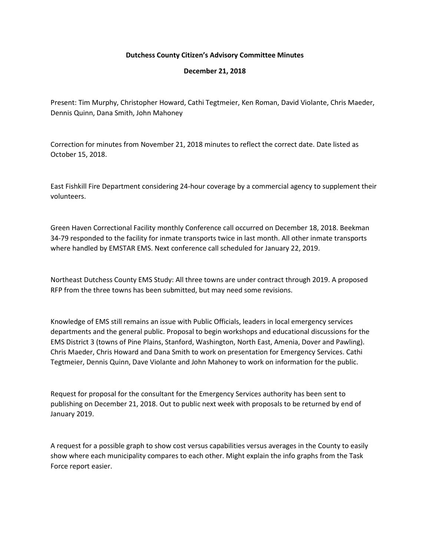## **Dutchess County Citizen's Advisory Committee Minutes**

## **December 21, 2018**

Present: Tim Murphy, Christopher Howard, Cathi Tegtmeier, Ken Roman, David Violante, Chris Maeder, Dennis Quinn, Dana Smith, John Mahoney

Correction for minutes from November 21, 2018 minutes to reflect the correct date. Date listed as October 15, 2018.

East Fishkill Fire Department considering 24-hour coverage by a commercial agency to supplement their volunteers.

Green Haven Correctional Facility monthly Conference call occurred on December 18, 2018. Beekman 34-79 responded to the facility for inmate transports twice in last month. All other inmate transports where handled by EMSTAR EMS. Next conference call scheduled for January 22, 2019.

Northeast Dutchess County EMS Study: All three towns are under contract through 2019. A proposed RFP from the three towns has been submitted, but may need some revisions.

Knowledge of EMS still remains an issue with Public Officials, leaders in local emergency services departments and the general public. Proposal to begin workshops and educational discussions for the EMS District 3 (towns of Pine Plains, Stanford, Washington, North East, Amenia, Dover and Pawling). Chris Maeder, Chris Howard and Dana Smith to work on presentation for Emergency Services. Cathi Tegtmeier, Dennis Quinn, Dave Violante and John Mahoney to work on information for the public.

Request for proposal for the consultant for the Emergency Services authority has been sent to publishing on December 21, 2018. Out to public next week with proposals to be returned by end of January 2019.

A request for a possible graph to show cost versus capabilities versus averages in the County to easily show where each municipality compares to each other. Might explain the info graphs from the Task Force report easier.